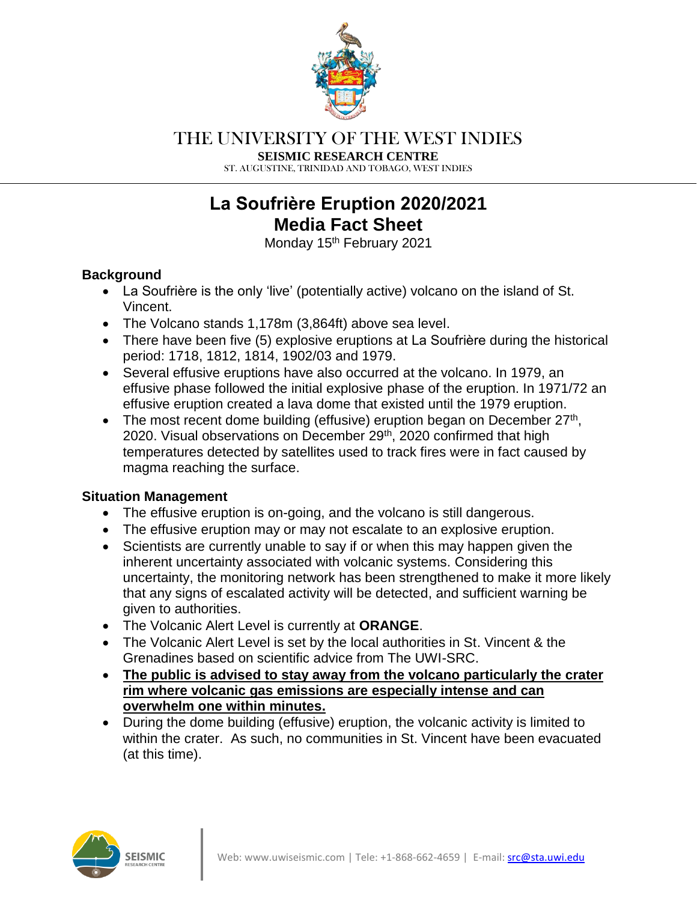

# THE UNIVERSITY OF THE WEST INDIES

**SEISMIC RESEARCH CENTRE**

ST. AUGUSTINE, TRINIDAD AND TOBAGO, WEST INDIES

# **La Soufriѐre Eruption 2020/2021 Media Fact Sheet**

Monday 15<sup>th</sup> February 2021

### **Background**

- La Soufriѐre is the only 'live' (potentially active) volcano on the island of St. Vincent.
- The Volcano stands 1,178m (3,864ft) above sea level.
- There have been five (5) explosive eruptions at La Soufrière during the historical period: 1718, 1812, 1814, 1902/03 and 1979.
- Several effusive eruptions have also occurred at the volcano. In 1979, an effusive phase followed the initial explosive phase of the eruption. In 1971/72 an effusive eruption created a lava dome that existed until the 1979 eruption.
- The most recent dome building (effusive) eruption began on December  $27<sup>th</sup>$ , 2020. Visual observations on December 29<sup>th</sup>, 2020 confirmed that high temperatures detected by satellites used to track fires were in fact caused by magma reaching the surface.

#### **Situation Management**

- The effusive eruption is on-going, and the volcano is still dangerous.
- The effusive eruption may or may not escalate to an explosive eruption.
- Scientists are currently unable to say if or when this may happen given the inherent uncertainty associated with volcanic systems. Considering this uncertainty, the monitoring network has been strengthened to make it more likely that any signs of escalated activity will be detected, and sufficient warning be given to authorities.
- The Volcanic Alert Level is currently at **ORANGE**.
- The Volcanic Alert Level is set by the local authorities in St. Vincent & the Grenadines based on scientific advice from The UWI-SRC.
- **The public is advised to stay away from the volcano particularly the crater rim where volcanic gas emissions are especially intense and can overwhelm one within minutes.**
- During the dome building (effusive) eruption, the volcanic activity is limited to within the crater. As such, no communities in St. Vincent have been evacuated (at this time).

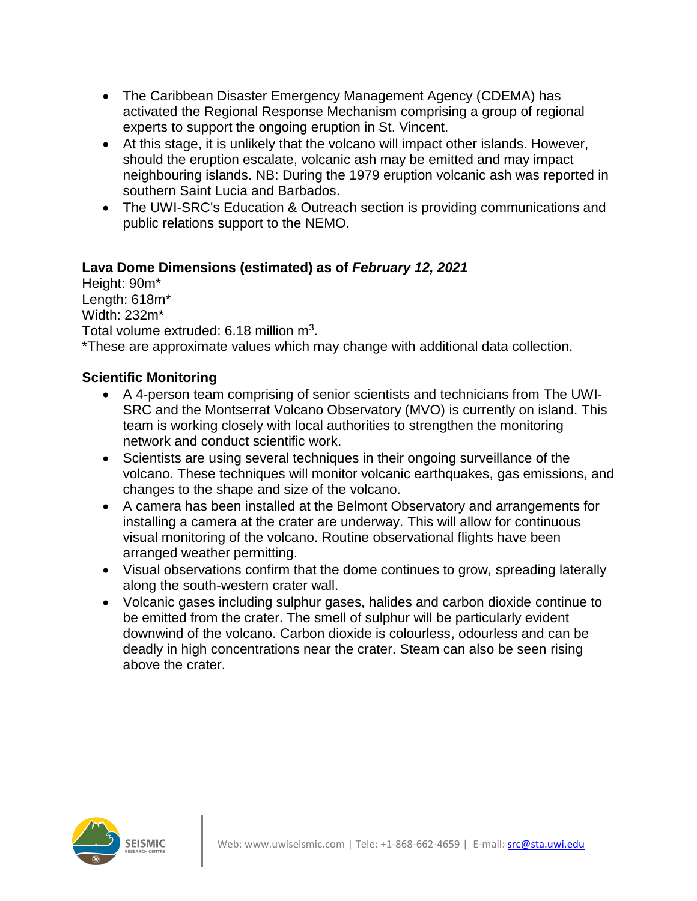- The Caribbean Disaster Emergency Management Agency (CDEMA) has activated the Regional Response Mechanism comprising a group of regional experts to support the ongoing eruption in St. Vincent.
- At this stage, it is unlikely that the volcano will impact other islands. However, should the eruption escalate, volcanic ash may be emitted and may impact neighbouring islands. NB: During the 1979 eruption volcanic ash was reported in southern Saint Lucia and Barbados.
- The UWI-SRC's Education & Outreach section is providing communications and public relations support to the NEMO.

### **Lava Dome Dimensions (estimated) as of** *February 12, 2021*

Height: 90m\* Length: 618m\* Width: 232m\* Total volume extruded: 6.18 million m<sup>3</sup>.

\*These are approximate values which may change with additional data collection.

#### **Scientific Monitoring**

- A 4-person team comprising of senior scientists and technicians from The UWI-SRC and the Montserrat Volcano Observatory (MVO) is currently on island. This team is working closely with local authorities to strengthen the monitoring network and conduct scientific work.
- Scientists are using several techniques in their ongoing surveillance of the volcano. These techniques will monitor volcanic earthquakes, gas emissions, and changes to the shape and size of the volcano.
- A camera has been installed at the Belmont Observatory and arrangements for installing a camera at the crater are underway. This will allow for continuous visual monitoring of the volcano. Routine observational flights have been arranged weather permitting.
- Visual observations confirm that the dome continues to grow, spreading laterally along the south-western crater wall.
- Volcanic gases including sulphur gases, halides and carbon dioxide continue to be emitted from the crater. The smell of sulphur will be particularly evident downwind of the volcano. Carbon dioxide is colourless, odourless and can be deadly in high concentrations near the crater. Steam can also be seen rising above the crater.

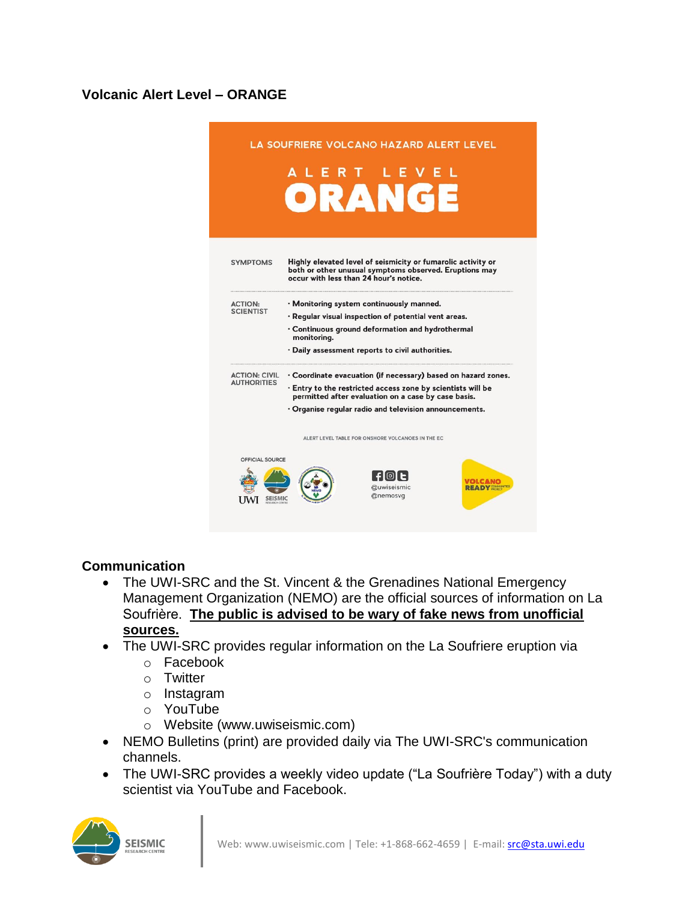## **Volcanic Alert Level – ORANGE**



#### **Communication**

- The UWI-SRC and the St. Vincent & the Grenadines National Emergency Management Organization (NEMO) are the official sources of information on La Soufriѐre. **The public is advised to be wary of fake news from unofficial sources.**
- The UWI-SRC provides regular information on the La Soufriere eruption via
	- o Facebook
	- o Twitter
	- o Instagram
	- o YouTube
	- o Website (www.uwiseismic.com)
- NEMO Bulletins (print) are provided daily via The UWI-SRC's communication channels.
- The UWI-SRC provides a weekly video update ("La Soufrière Today") with a duty scientist via YouTube and Facebook.